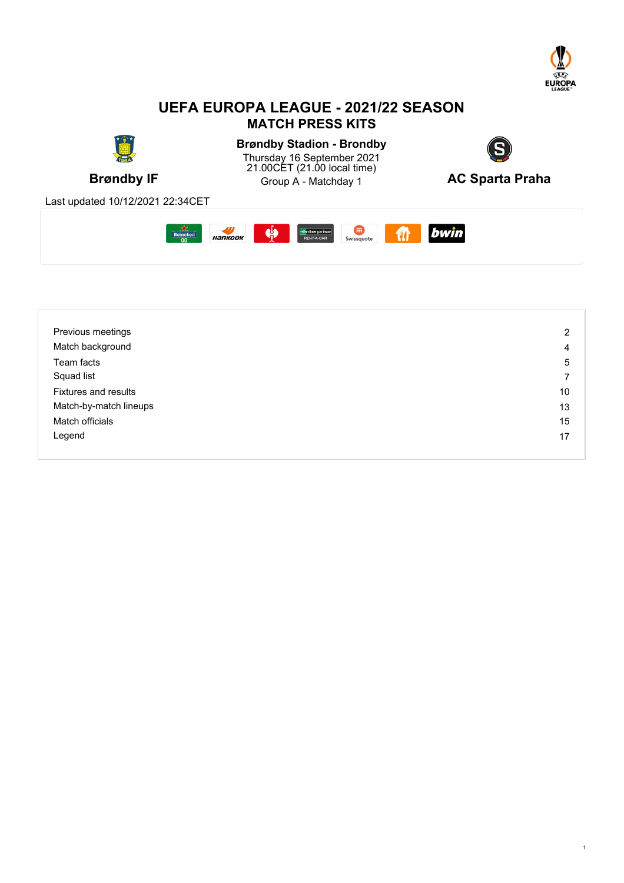

## **UEFA EUROPA LEAGUE - 2021/22 SEASON MATCH PRESS KITS**



| Previous meetings           | 2  |
|-----------------------------|----|
| Match background            | 4  |
| Team facts                  | 5  |
| Squad list                  | ⇁  |
| <b>Fixtures and results</b> | 10 |
| Match-by-match lineups      | 13 |
| Match officials             | 15 |
| Legend                      | 17 |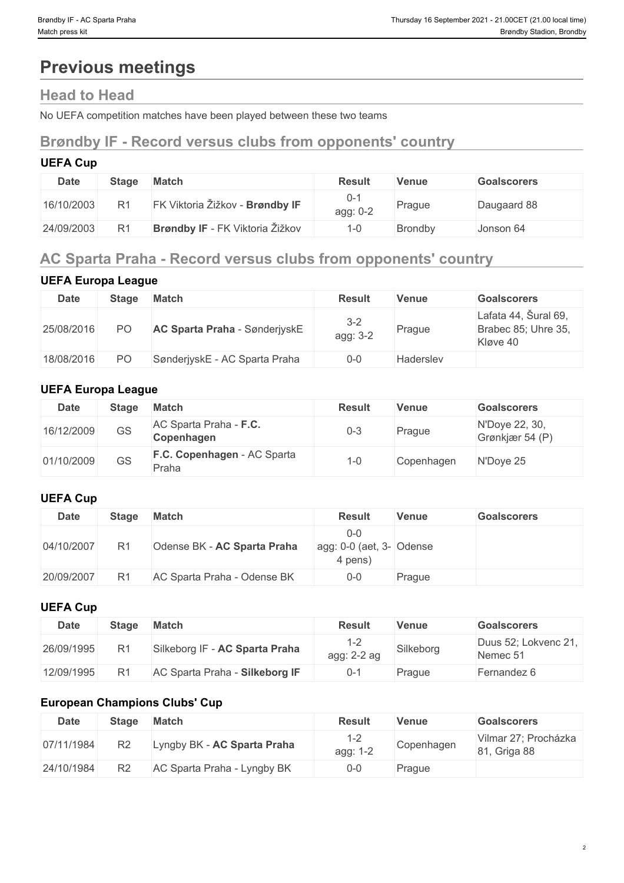# **Previous meetings**

## **Head to Head**

No UEFA competition matches have been played between these two teams

## **Brøndby IF - Record versus clubs from opponents' country**

## **UEFA Cup**

| <b>Date</b> | <b>Stage</b>   | <b>Match</b>                           | <b>Result</b>   | Venue          | <b>Goalscorers</b> |
|-------------|----------------|----------------------------------------|-----------------|----------------|--------------------|
| 16/10/2003  | R <sub>1</sub> | FK Viktoria Žižkov - Brøndby IF        | O-.<br>agg: 0-2 | Prague         | Daugaard 88        |
| 24/09/2003  | R <sub>1</sub> | <b>Brøndby IF</b> - FK Viktoria Žižkov | 1-0             | <b>Brondby</b> | Jonson 64          |

## **AC Sparta Praha - Record versus clubs from opponents' country**

## **UEFA Europa League**

| <b>Date</b> | <b>Stage</b> | Match                                | <b>Result</b>       | <b>Venue</b>     | <b>Goalscorers</b>                                      |
|-------------|--------------|--------------------------------------|---------------------|------------------|---------------------------------------------------------|
| 25/08/2016  | <b>PO</b>    | <b>AC Sparta Praha</b> - SønderjyskE | $3 - 2$<br>agg: 3-2 | Prague           | Lafata 44, Šural 69,<br>Brabec 85; Uhre 35,<br>Kløve 40 |
| 18/08/2016  | PO.          | SønderjyskE - AC Sparta Praha        | $0 - 0$             | <b>Hadersley</b> |                                                         |

## **UEFA Europa League**

| Date       | <b>Stage</b> | <b>Match</b>                         | <b>Result</b> | <b>Venue</b> | <b>Goalscorers</b>                |
|------------|--------------|--------------------------------------|---------------|--------------|-----------------------------------|
| 16/12/2009 | GS           | AC Sparta Praha - F.C.<br>Copenhagen | 0-3           | Prague       | N'Doye 22, 30,<br>Grønkjær 54 (P) |
| 01/10/2009 | GS           | F.C. Copenhagen - AC Sparta<br>Praha | $1 - 0$       | Copenhagen   | N'Doye 25                         |

## **UEFA Cup**

| <b>Date</b> | <b>Stage</b>   | Match                       | <b>Result</b>                                                  | <b>Venue</b> | <b>Goalscorers</b> |
|-------------|----------------|-----------------------------|----------------------------------------------------------------|--------------|--------------------|
| 04/10/2007  | R <sub>1</sub> | Odense BK - AC Sparta Praha | $0 - 0$<br>$\vert$ agg: 0-0 (aet, 3- $\vert$ Odense<br>4 pens) |              |                    |
| 20/09/2007  | R <sub>1</sub> | AC Sparta Praha - Odense BK | $0-0$                                                          | Prague       |                    |

## **UEFA Cup**

| <b>Date</b> | <b>Stage</b> | <b>Match</b>                   | Result        | Venue     | <b>Goalscorers</b>               |
|-------------|--------------|--------------------------------|---------------|-----------|----------------------------------|
| 26/09/1995  |              | Silkeborg IF - AC Sparta Praha | $agg: 2-2 ag$ | Silkeborg | Duus 52; Lokvenc 21,<br>Nemec 51 |
| 12/09/1995  |              | AC Sparta Praha - Silkeborg IF | $0 - 7$       | Prague    | Fernandez 6                      |

## **European Champions Clubs' Cup**

| Date       | <b>Stage</b>   | <b>Match</b>                | Result          | Venue      | <b>Goalscorers</b>                      |
|------------|----------------|-----------------------------|-----------------|------------|-----------------------------------------|
| 07/11/1984 | R <sub>2</sub> | Lyngby BK - AC Sparta Praha | 1-2<br>agg: 1-2 | Copenhagen | Vilmar 27; Procházka<br>81.<br>Griga 88 |
| 24/10/1984 | R2             | AC Sparta Praha - Lyngby BK | $0 - 0$         | Prague     |                                         |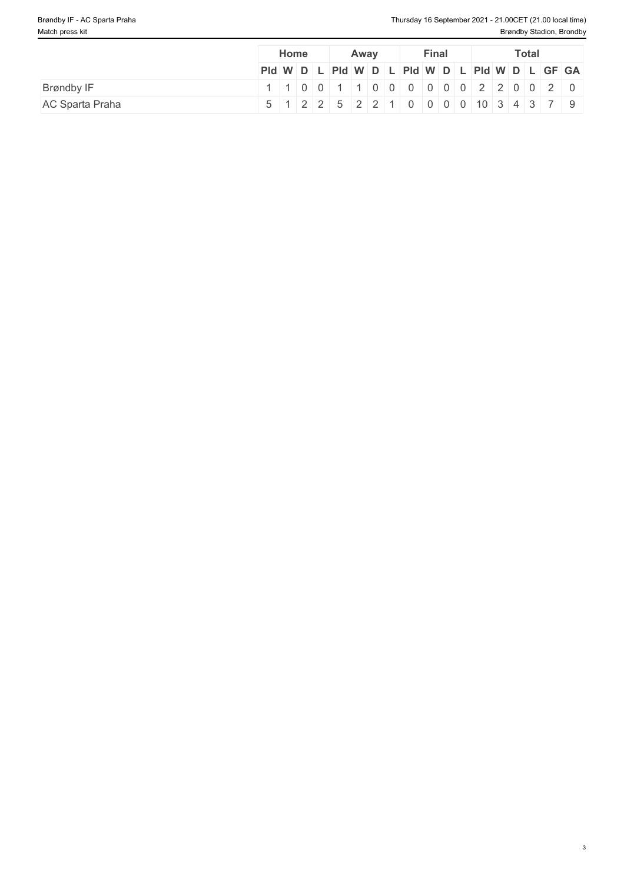|                        | Home                                          | Away                                                                      |  | <b>Final</b> |  | <b>Total</b> |  |  |
|------------------------|-----------------------------------------------|---------------------------------------------------------------------------|--|--------------|--|--------------|--|--|
|                        | Pid W D L Pid W D L Pid W D L Pid W D L GF GA |                                                                           |  |              |  |              |  |  |
| Brøndby IF             |                                               | $1   1   0   0   1   1   0   0   0   0   0   0   2   2   0   0   2   0  $ |  |              |  |              |  |  |
| <b>AC Sparta Praha</b> | 5 1 2 2 5 2 2 1 0 0 0 0 10 3 4 3 7 9          |                                                                           |  |              |  |              |  |  |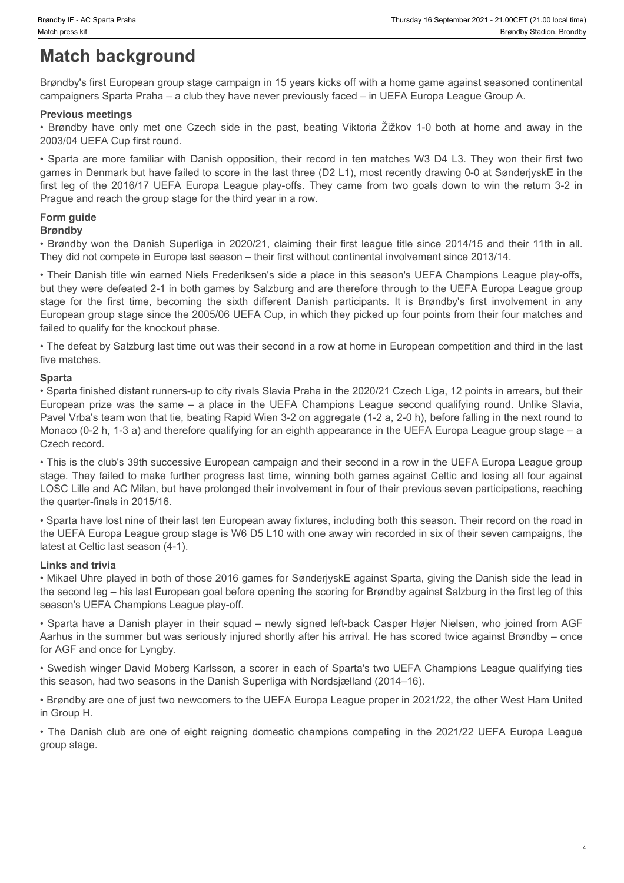# **Match background**

Brøndby's first European group stage campaign in 15 years kicks off with a home game against seasoned continental campaigners Sparta Praha – a club they have never previously faced – in UEFA Europa League Group A.

#### **Previous meetings**

2003/04 UEFA Cup first round.

Frondby IF-AC Sparta Praha<br>
Match background<br>
Brøndby's first European group stage campaign in 15 years kicks off with a home game against seasoned continental<br>
Empathy's first European group stage campaign in 15 years kic Frondry IF -AC Sparta Praha<br>
Hordby's first European group stage campaign in 15 years kicks off with a home game against seasoned continental<br>
Erendby's first European group stage campaign in 15 years kicks off with a home games in Denmark but have failed to score in the last three (D2 L1), most recently drawing 0-0 at SønderjyskE in the Financially IF - AC Sparts Praiha<br> **Match background**<br> **Match background**<br> **Effective**<br> **Effective**<br> **Effective**<br> **Effective**<br> **Effective**<br> **Effective**<br> **Effective**<br> **Previous meetings**<br> **Previous meetings**<br> **Previous meet** Prague and reach the group stage for the third year in a row.

## **Form guide**

#### **Brøndby**

• Brøndby won the Danish Superliga in 2020/21, claiming their first league title since 2014/15 and their 11th in all. They did not compete in Europe last season – their first without continental involvement since 2013/14.

• Their Danish title win earned Niels Frederiksen's side a place in this season's UEFA Champions League play-offs, but they were defeated 2-1 in both games by Salzburg and are therefore through to the UEFA Europa League group straction Firical Startin Pranet<br> **Biomatch background**<br> **Biomatch background**<br> **Biomatch background**<br> **Biomatch background**<br> **Biomatch background**<br> **Biomatch background**<br> **Biomatch participants**<br> **Chooper for the sixth di** European group stage since the 2005/06 UEFA Cup, in which they picked up four points from their four matches and failed to qualify for the knockout phase.

• The defeat by Salzburg last time out was their second in a row at home in European competition and third in the last five matches.

#### **Sparta**

• Sparta finished distant runners-up to city rivals Slavia Praha in the 2020/21 Czech Liga, 12 points in arrears, but their the clayers is a about the same Prize in the same of the same of the same of the same of the same of the same of the same of the same of the same of the same of the same of the same of the same of the same of the same of Pavel Vrba's team won that tie, beating Rapid Wien 3-2 on aggregate (1-2 a, 2-0 h), before falling in the next round to Monaco (0-2 h, 1-3 a) and therefore qualifying for an eighth appearance in the UEFA Europa League group stage – a Czech record. **Branchy**<br> **Branchy** won the Danish Superiga in 2020/21, claiming ther first tempe like since 2014/15 and their 11h in all.<br>
They dand competis in Competitions competitions competition continental involvements inner 2017-1

• This is the club's 39th successive European campaign and their second in a row in the UEFA Europa League group stage. They failed to make further progress last time, winning both games against Celtic and losing all four against LOSC Lille and AC Milan, but have prolonged their involvement in four of their previous seven participations, reaching the quarter-finals in 2015/16.

• Sparta have lost nine of their last ten European away fixtures, including both this season. Their record on the road in the UEFA Europa League group stage is W6 D5 L10 with one away win recorded in six of their seven campaigns, the latest at Celtic last season (4-1).

#### **Links and trivia**

• Mikael Uhre played in both of those 2016 games for SønderjyskE against Sparta, giving the Danish side the lead in the second leg – his last European goal before opening the scoring for Brøndby against Salzburg in the first leg of this season's UEFA Champions League play-off.

• Sparta have a Danish player in their squad – newly signed left-back Casper Højer Nielsen, who joined from AGF Aarhus in the summer but was seriously injured shortly after his arrival. He has scored twice against Brøndby – once for AGF and once for Lyngby.

• Swedish winger David Moberg Karlsson, a scorer in each of Sparta's two UEFA Champions League qualifying ties this season, had two seasons in the Danish Superliga with Nordsjælland (2014–16).

• Brøndby are one of just two newcomers to the UEFA Europa League proper in 2021/22, the other West Ham United in Group H.

group stage.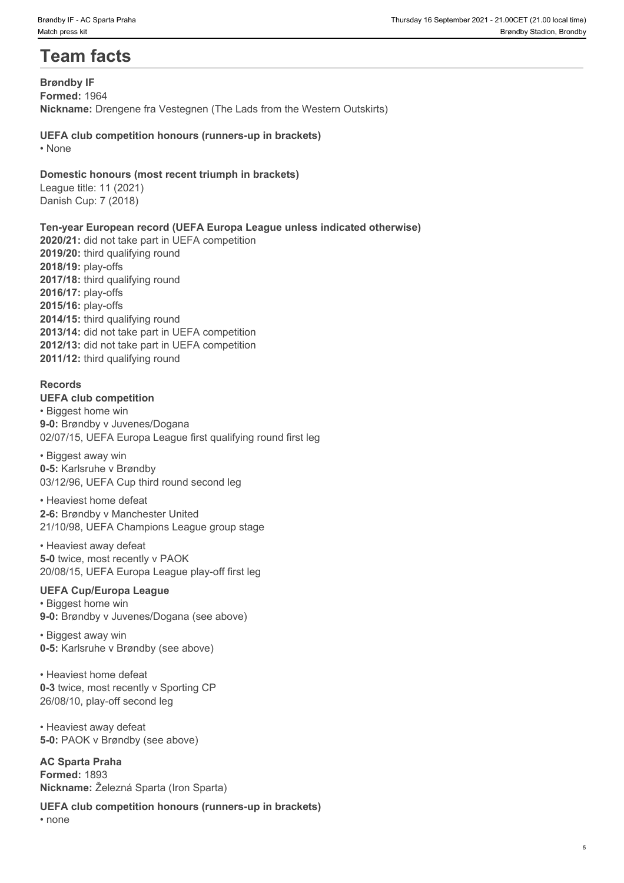# **Team facts**

**Brøndby IF Formed:** 1964 **Nickname:** Drengene fra Vestegnen (The Lads from the Western Outskirts)

**UEFA club competition honours (runners-up in brackets)** • None **but the contract of the contract of the contract of the contract of the contract of the contract of the contract of the contract of the contract of the contract of the contract of the contract of the contract of th** 

#### **Domestic honours (most recent triumph in brackets)**

League title: 11 (2021) Danish Cup: 7 (2018)

#### **Ten-year European record (UEFA Europa League unless indicated otherwise)**

**2020/21:** did not take part in UEFA competition **2019/20:** third qualifying round **2018/19:** play-offs **2017/18:** third qualifying round **2016/17:** play-offs **2015/16:** play-offs **2014/15:** third qualifying round **2013/14:** did not take part in UEFA competition **2012/13:** did not take part in UEFA competition **2011/12:** third qualifying round

## **Records**

**UEFA club competition** • Biggest home win **9-0:** Brøndby v Juvenes/Dogana 02/07/15, UEFA Europa League first qualifying round first leg

• Biggest away win **0-5:** Karlsruhe v Brøndby 03/12/96, UEFA Cup third round second leg

• Heaviest home defeat **2-6:** Brøndby v Manchester United 21/10/98, UEFA Champions League group stage

• Heaviest away defeat **5-0** twice, most recently v PAOK 20/08/15, UEFA Europa League play-off first leg

## **UEFA Cup/Europa League**

• Biggest home win **9-0:** Brøndby v Juvenes/Dogana (see above)

• Biggest away win **0-5:** Karlsruhe v Brøndby (see above)

• Heaviest home defeat **0-3** twice, most recently v Sporting CP 26/08/10, play-off second leg

• Heaviest away defeat **5-0:** PAOK v Brøndby (see above)

**AC Sparta Praha Formed:** 1893 **Nickname:** Železná Sparta (Iron Sparta)

**UEFA club competition honours (runners-up in brackets)**

• none **black** and **black** and **black** and **black** and **black** and **black** and **black** and **black** and **black** and **black** and **black** and **black** and **black** and **black** and **black** and **black** and **black** and **black** and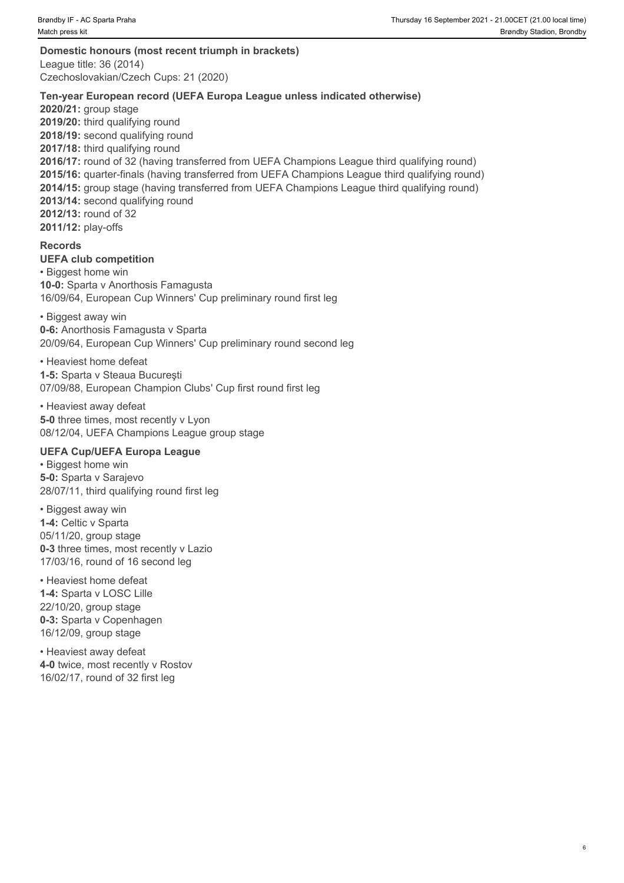**Domestic honours (most recent triumph in brackets)** League title: 36 (2014) Czechoslovakian/Czech Cups: 21 (2020)

#### **Ten-year European record (UEFA Europa League unless indicated otherwise)**

**2020/21:** group stage **2019/20:** third qualifying round 2018/19: second qualifying round **2017/18:** third qualifying round **2016/17:** round of 32 (having transferred from UEFA Champions League third qualifying round) **2015/16:** quarter-finals (having transferred from UEFA Champions League third qualifying round) **2014/15:** group stage (having transferred from UEFA Champions League third qualifying round) **2013/14:** second qualifying round **2012/13:** round of 32 **2011/12:** play-offs

#### **Records**

**UEFA club competition** 

• Biggest home win **10-0:** Sparta v Anorthosis Famagusta 16/09/64, European Cup Winners' Cup preliminary round first leg

• Biggest away win **0-6:** Anorthosis Famagusta v Sparta 20/09/64, European Cup Winners' Cup preliminary round second leg

• Heaviest home defeat

**1-5:** Sparta v Steaua Bucureşti 07/09/88, European Champion Clubs' Cup first round first leg

• Heaviest away defeat **5-0** three times, most recently v Lyon 08/12/04, UEFA Champions League group stage

#### **UEFA Cup/UEFA Europa League**

• Biggest home win **5-0:** Sparta v Sarajevo 28/07/11, third qualifying round first leg

• Biggest away win **1-4:** Celtic v Sparta 05/11/20, group stage **0-3** three times, most recently v Lazio 17/03/16, round of 16 second leg

• Heaviest home defeat **1-4:** Sparta v LOSC Lille 22/10/20, group stage **0-3:** Sparta v Copenhagen 16/12/09, group stage

• Heaviest away defeat **4-0** twice, most recently v Rostov 16/02/17, round of 32 first leg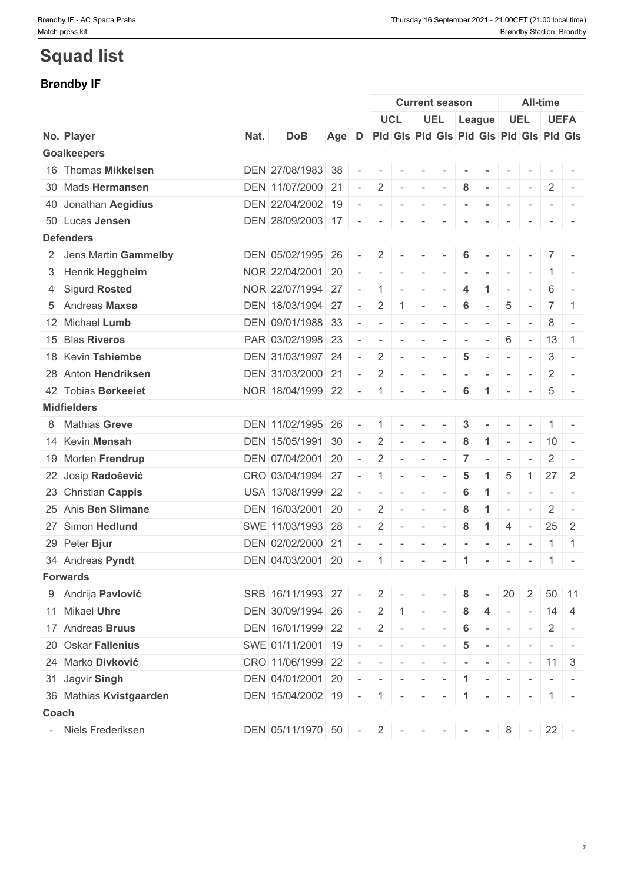# **Squad list**

## **Brøndby IF**

|                         |      |                   |     |        |                          |                             |                          | <b>Current season</b>    |                  |                             |                                                    |                          | <b>All-time</b> |                                         |
|-------------------------|------|-------------------|-----|--------|--------------------------|-----------------------------|--------------------------|--------------------------|------------------|-----------------------------|----------------------------------------------------|--------------------------|-----------------|-----------------------------------------|
|                         |      |                   |     |        |                          | <b>UCL</b>                  |                          | <b>UEL</b>               |                  | League                      |                                                    | <b>UEL</b>               |                 | <b>UEFA</b>                             |
| No. Player              | Nat. | <b>DoB</b>        | Age | D      |                          |                             |                          |                          |                  |                             |                                                    |                          |                 | Pid Gis Pid Gis Pid Gis Pid Gis Pid Gis |
| <b>Goalkeepers</b>      |      |                   |     |        |                          |                             |                          |                          |                  |                             |                                                    |                          |                 |                                         |
| 16 Thomas Mikkelsen     |      | DEN 27/08/1983 38 |     | $\sim$ | $\sim$                   | $\sim$                      | $\overline{a}$           |                          |                  |                             |                                                    |                          |                 |                                         |
| 30 Mads Hermansen       |      | DEN 11/07/2000 21 |     | $\sim$ | $\overline{2}$           |                             | $\sim$ 10 $\sim$         | $\sim$                   | 8                | $\sim$ $\sim$ $\sim$ $\sim$ |                                                    | $\sim$                   | 2               | $\sim$                                  |
| 40 Jonathan Aegidius    |      | DEN 22/04/2002 19 |     |        | $\sim$                   | $\overline{\phantom{a}}$    | $\sim$                   | $\overline{\phantom{a}}$ |                  |                             | $\sim$                                             | $\overline{\phantom{a}}$ |                 |                                         |
| 50 Lucas Jensen         |      | DEN 28/09/2003 17 |     |        | $\sim$                   | $\sim$                      | $\overline{\phantom{a}}$ |                          |                  |                             |                                                    |                          |                 |                                         |
| <b>Defenders</b>        |      |                   |     |        |                          |                             |                          |                          |                  |                             |                                                    |                          |                 |                                         |
| 2 Jens Martin Gammelby  |      | DEN 05/02/1995 26 |     | $\sim$ | $\overline{2}$           |                             | $\sim$                   |                          | 6                |                             |                                                    |                          |                 | $7 -$                                   |
| 3 Henrik Heggheim       |      | NOR 22/04/2001 20 |     |        | $\overline{\phantom{a}}$ | $\sim$                      | $\sim$                   |                          |                  |                             |                                                    |                          |                 | $1 -$                                   |
| 4 Sigurd Rosted         |      | NOR 22/07/1994 27 |     | $\sim$ | $\overline{1}$           | $\sim$                      | $\sim$                   |                          | $\boldsymbol{4}$ | $\blacktriangleleft$        | $\overline{\phantom{a}}$                           | $\overline{\phantom{a}}$ | 6               |                                         |
| 5 Andreas Maxsø         |      | DEN 18/03/1994 27 |     |        | $\overline{2}$           | 1 <sup>1</sup>              | $\sim$                   | $\overline{\phantom{a}}$ | 6                | $\sim$                      | $\overline{5}$                                     | $\overline{\phantom{a}}$ |                 | $7 \mid 1$                              |
| 12 Michael Lumb         |      | DEN 09/01/1988 33 |     |        | $\sim$                   |                             | $\overline{\phantom{a}}$ |                          |                  |                             | $\overline{\phantom{a}}$                           |                          | 8               | $\sim$                                  |
| 15 Blas Riveros         |      | PAR 03/02/1998 23 |     |        | $\overline{\phantom{a}}$ | $\sim$                      | $\overline{\phantom{a}}$ |                          |                  |                             | 6                                                  | $\sim$                   | 13              | $\vert$ 1                               |
| 18 Kevin Tshiembe       |      | DEN 31/03/1997 24 |     |        | $\overline{2}$           | $\sim$                      | $\sim$                   |                          | 5                | $\sim$                      | $\overline{\phantom{a}}$                           | $\sim$                   | 3               | $\sim$                                  |
| 28 Anton Hendriksen     |      | DEN 31/03/2000 21 |     | $\sim$ | 2                        | $\sim$                      | $\sim$                   | $\sim$                   |                  |                             | $\sim$                                             | $\sim$                   | 2               | $\sim$                                  |
| 42 Tobias Børkeeiet     |      | NOR 18/04/1999 22 |     | $\sim$ | $\overline{1}$           | $\sim$                      | $\sim$                   | $\sim$                   | 6                | $\blacktriangleleft$        | $\sim$                                             | $\sim$                   | 5               |                                         |
| <b>Midfielders</b>      |      |                   |     |        |                          |                             |                          |                          |                  |                             |                                                    |                          |                 |                                         |
| 8 Mathias Greve         |      | DEN 11/02/1995 26 |     |        | $\overline{1}$           | $\sim$                      | $\sim$                   |                          | $\mathbf{3}$     |                             | $\overline{\phantom{a}}$                           | $\sim$                   |                 | $1$ -                                   |
| 14 Kevin Mensah         |      | DEN 15/05/1991 30 |     | $\sim$ | 2                        | $\sim$                      | $\overline{\phantom{a}}$ |                          | 8                | -1                          | $\overline{\phantom{a}}$                           | $\sim$                   | $10 -$          |                                         |
| 19 Morten Frendrup      |      | DEN 07/04/2001 20 |     | $\sim$ | $\overline{2}$           | $\sim$                      | $\sim$                   | $\sim$                   | $\overline{7}$   | $\sim$                      | $\sim$                                             |                          | 2               |                                         |
| 22 Josip Radošević      |      | CRO 03/04/1994 27 |     |        | $\overline{1}$           | $\sim$                      | $\sim$                   | $\overline{\phantom{a}}$ | 5                | $\blacktriangleleft$        | 5                                                  | $\overline{1}$           |                 | $27 \quad 2$                            |
| 23 Christian Cappis     |      | USA 13/08/1999 22 |     |        | $\overline{\phantom{a}}$ | $\sim$                      | $\sim$                   | $\sim$                   | 6                |                             |                                                    |                          |                 |                                         |
| 25 Anis Ben Slimane     |      | DEN 16/03/2001 20 |     | $\sim$ | $\overline{2}$           | $\sim$                      | $\sim$                   | $\overline{\phantom{a}}$ | 8                | $\blacktriangleleft$        | $\overline{\phantom{a}}$                           | $\sim$                   | $\overline{2}$  | $\overline{\phantom{a}}$                |
| 27 Simon Hedlund        |      | SWE 11/03/1993 28 |     |        | 2                        | $\sim$                      | $\sim$                   | $\sim$                   | 8                | $\mathbf{1}$                | $\overline{4}$                                     | $\mathbf{r}$             |                 | $25 \quad 2$                            |
| 29 Peter Bjur           |      | DEN 02/02/2000 21 |     |        |                          |                             | $\overline{\phantom{a}}$ | $\overline{\phantom{a}}$ | $\blacksquare$   |                             | $\sim$                                             | $\sim$                   |                 | $1 \mid 1$                              |
| 34 Andreas Pyndt        |      | DEN 04/03/2001 20 |     | $\sim$ | $\overline{1}$           | $\sim$                      | $\sim$                   | $\sim$                   | $\overline{1}$   | $\sim$                      | $\sim$                                             | $\sim$                   | 1               | $\sim$                                  |
| <b>Forwards</b>         |      |                   |     |        |                          |                             |                          |                          |                  |                             |                                                    |                          |                 |                                         |
| 9 Andrija Pavlović      |      | SRB 16/11/1993 27 |     | $\sim$ | $\sim$ 2                 | $\mathcal{A}=\{1,2,3,4,5\}$ |                          | $\sim$ $-$               | 8                | $\sim$                      | 20                                                 | $\overline{2}$           |                 | 50 11                                   |
| 11 Mikael Uhre          |      | DEN 30/09/1994 26 |     | $\sim$ | 2                        | 1                           | $\mathbf{1}$             |                          | 8                | 4                           | $\sim$                                             | $\sim$                   |                 | $14 \mid 4$                             |
| 17 Andreas Bruus        |      | DEN 16/01/1999 22 |     | $\sim$ | $\overline{2}$           | $\sim$                      | $\sim$                   |                          | 6                | $\sim$                      | $\sim$                                             | $\sim$                   | $\mathbf{2}$    |                                         |
| 20 Oskar Fallenius      |      | SWE 01/11/2001 19 |     |        | $\sim$                   | $\sim$ 1 $\sim$             |                          | $\sim$                   | $5\phantom{.0}$  | $\sim$ $-$                  | $\sim$ $-$                                         | $\sim$                   |                 | $ -$                                    |
|                         |      |                   |     |        |                          |                             |                          |                          |                  |                             |                                                    |                          |                 |                                         |
| 24 Marko Divković       |      | CRO 11/06/1999 22 |     |        | $\sim$                   | $\sim$                      | $\mathbf{r}$             |                          |                  |                             | $\sim$                                             | $\sim$                   | $11 \mid 3$     |                                         |
| 31 Jagvir Singh         |      | DEN 04/01/2001 20 |     |        | $\sim$                   | $\sim$                      | $\sim$ $ \sim$           | $\sim$                   | $\mathbf{1}$     | $\sim$                      | $\sim$                                             | $\sim$                   |                 |                                         |
| 36 Mathias Kvistgaarden |      | DEN 15/04/2002 19 |     |        |                          | $-11 - - -$                 |                          | $\sim$ 10 $\pm$          | $\mathbf{1}$     |                             | $\mathcal{A}=\{1,2,\ldots,n\}$ . The $\mathcal{A}$ |                          |                 | $1$ -                                   |
| <b>Coach</b>            |      |                   |     |        |                          |                             |                          |                          |                  |                             |                                                    |                          |                 |                                         |
| - Niels Frederiksen     |      | DEN 05/11/1970 50 |     |        |                          |                             |                          |                          |                  |                             |                                                    |                          |                 |                                         |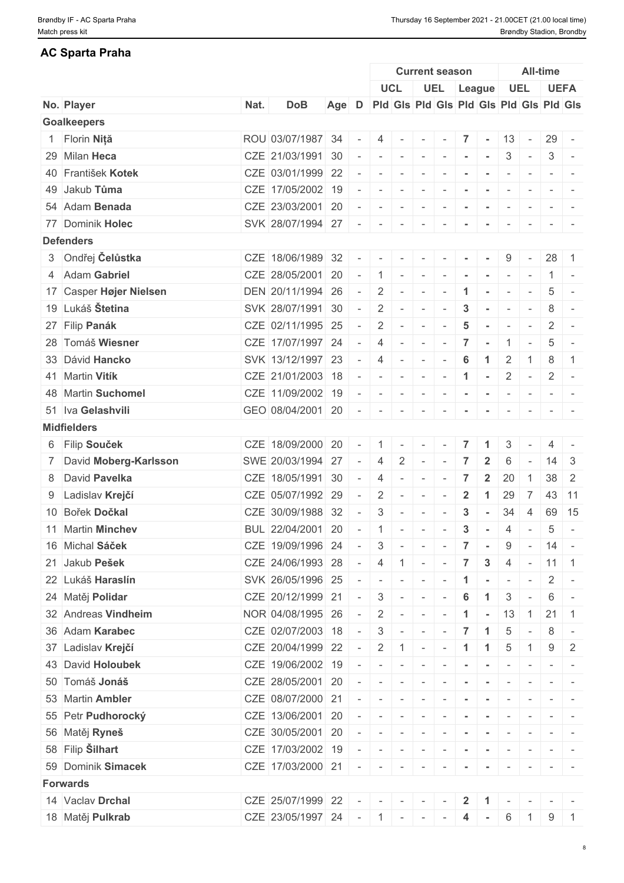## **AC Sparta Praha**

|                                            |      |                   |     |                          |                          |                             |                          | <b>Current season</b>                   |                          |                |                          |                          | <b>All-time</b>      |                                                                                                 |
|--------------------------------------------|------|-------------------|-----|--------------------------|--------------------------|-----------------------------|--------------------------|-----------------------------------------|--------------------------|----------------|--------------------------|--------------------------|----------------------|-------------------------------------------------------------------------------------------------|
|                                            |      |                   |     |                          |                          | <b>UCL</b>                  |                          | UEL League                              |                          |                |                          | <b>UEL</b>               |                      | <b>UEFA</b>                                                                                     |
| No. Player                                 | Nat. | <b>DoB</b>        | Age | D                        |                          |                             |                          | Pid Gis Pid Gis Pid Gis Pid Gis Pid Gis |                          |                |                          |                          |                      |                                                                                                 |
| <b>Goalkeepers</b>                         |      |                   |     |                          |                          |                             |                          |                                         |                          |                |                          |                          |                      |                                                                                                 |
| 1 Florin Niță                              |      | ROU 03/07/1987 34 |     |                          | 4                        | $\sim$                      | $\sim$ $-$               |                                         | 7                        | $\sim$         | 13                       | $\sim$                   |                      | $29 -$                                                                                          |
| 29 Milan Heca                              |      | CZE 21/03/1991 30 |     |                          |                          | $\sim$                      | $\sim$                   | $\sim$                                  |                          |                | 3                        | $\sim$                   | 3                    | $\sim$                                                                                          |
| 40 František Kotek                         |      | CZE 03/01/1999 22 |     |                          | $\overline{\phantom{a}}$ | $\sim$                      | $\overline{\phantom{a}}$ |                                         |                          |                |                          |                          | $\sim$               |                                                                                                 |
| 49 Jakub Tůma                              |      | CZE 17/05/2002 19 |     | $\overline{\phantom{a}}$ | $\overline{\phantom{a}}$ | $\sim$                      | $\sim$                   |                                         |                          |                | $\overline{\phantom{a}}$ | $\sim$                   | $\sim$               |                                                                                                 |
| 54 Adam Benada                             |      | CZE 23/03/2001 20 |     |                          | $\sim$                   | $\sim$                      | $\sim$ $-$               | $\sim$                                  | $\sim$                   | $\sim$         | $\sim$                   | $\sim$                   |                      | $\sim$ 100 $\sim$ 100 $\sim$                                                                    |
| 77 Dominik Holec                           |      | SVK 28/07/1994 27 |     | $\sim$                   | $\sim$                   | $\sim$                      | $\overline{\phantom{a}}$ |                                         |                          |                | $\overline{\phantom{a}}$ | $\sim$                   | $ -$                 |                                                                                                 |
| <b>Defenders</b>                           |      |                   |     |                          |                          |                             |                          |                                         |                          |                |                          |                          |                      |                                                                                                 |
| 3 Ondřej Čelůstka                          |      | CZE 18/06/1989 32 |     |                          | $\sim$                   | $\sim$                      | $\sim$                   |                                         |                          |                | 9                        | $\sim$                   |                      | $28 \quad 1$                                                                                    |
| 4 Adam Gabriel                             |      | CZE 28/05/2001 20 |     |                          | $\overline{1}$           | $\sim$                      | $\sim$                   | $\sim$                                  | $\blacksquare$           |                | $\overline{\phantom{a}}$ | $\sim$                   |                      |                                                                                                 |
| 17 Casper Højer Nielsen                    |      | DEN 20/11/1994 26 |     | $\sim$                   | $\overline{2}$           | $\sim$                      | $\sim$                   | $\overline{\phantom{a}}$                | $\mathbf{1}$             | $\sim$         | $\overline{\phantom{a}}$ | $\sim$                   | 5                    |                                                                                                 |
| 19 Lukáš Štetina                           |      | SVK 28/07/1991 30 |     | $\sim$                   | 2                        | $\sim$                      | $\mathbb{C}^{\times}$ .  |                                         | 3                        | $\sim$         | $\sim$                   | $\overline{\phantom{a}}$ | 8                    | $\sim$                                                                                          |
| 27 Filip Panák                             |      | CZE 02/11/1995 25 |     |                          | 2                        | $\sim$                      | $\overline{\phantom{a}}$ |                                         | 5                        |                | $\overline{\phantom{a}}$ | $\sim$                   | 2                    | $\overline{a}$                                                                                  |
| 28 Tomáš Wiesner                           |      | CZE 17/07/1997 24 |     |                          | $\overline{4}$           | $\sim$                      | $\sim$                   |                                         | 7                        |                | -1                       | $\sim$                   | 5                    | $\sim$                                                                                          |
| 33 Dávid Hancko                            |      | SVK 13/12/1997 23 |     | $\overline{\phantom{a}}$ | $\overline{4}$           | $\sim$                      | $\sim$                   |                                         | 6                        | $\mathbf 1$    | 2                        | $\overline{1}$           | 8                    | $\overline{1}$                                                                                  |
| 41 Martin Vitík                            |      | CZE 21/01/2003 18 |     |                          | $\overline{\phantom{a}}$ | $\overline{\phantom{a}}$    | $\sim$                   | $\sim$                                  | $\mathbf{1}$             | $\sim$         | $\overline{2}$           | $\sim$                   | 2                    | $\sim$                                                                                          |
| 48 Martin Suchomel                         |      | CZE 11/09/2002 19 |     |                          | $\overline{\phantom{a}}$ |                             | $\overline{\phantom{a}}$ |                                         |                          |                | $\overline{\phantom{a}}$ |                          |                      | $\frac{1}{2} \left( \frac{1}{2} \right) = \frac{1}{2} \left( \frac{1}{2} \right) = \frac{1}{2}$ |
| 51 Iva Gelashvili                          |      | GEO 08/04/2001 20 |     | $\sim$                   | $\sim$                   | $\overline{\phantom{a}}$    | $\sim$                   |                                         |                          |                | $\overline{\phantom{a}}$ | $\overline{\phantom{a}}$ |                      |                                                                                                 |
| <b>Midfielders</b>                         |      |                   |     |                          |                          |                             |                          |                                         |                          |                |                          |                          |                      |                                                                                                 |
| 6 Filip Souček                             | CZE  | 18/09/2000 20     |     |                          | $\mathbf{1}$             | $\overline{\phantom{a}}$    | $\overline{\phantom{a}}$ |                                         | $\overline{7}$           | 1              | 3                        |                          | 4                    |                                                                                                 |
|                                            |      | SWE 20/03/1994 27 |     |                          | 4                        | 2                           |                          |                                         |                          | $\mathbf{2}$   | 6                        | $\overline{\phantom{a}}$ | 14                   | $\mathbf{3}$                                                                                    |
| 7 David Moberg-Karlsson<br>8 David Pavelka |      | CZE 18/05/1991 30 |     | $\sim$                   |                          |                             | $\sim$                   |                                         | 7                        |                | 20                       | $\overline{1}$           | 38                   | $\overline{2}$                                                                                  |
|                                            |      |                   |     |                          | $\overline{4}$           | $\overline{\phantom{a}}$    | $\overline{\phantom{a}}$ |                                         |                          | $\mathbf{2}$   |                          |                          |                      |                                                                                                 |
| 9 Ladislav Krejčí                          |      | CZE 05/07/1992 29 |     |                          | 2                        | $\overline{\phantom{a}}$    | $\overline{\phantom{a}}$ | $\overline{\phantom{a}}$                | $\overline{2}$           | $\mathbf{1}$   | 29                       | $\overline{7}$           |                      | 43 11                                                                                           |
| 10 Bořek Dočkal                            |      | CZE 30/09/1988 32 |     |                          | 3                        |                             | $\sim$                   |                                         | 3                        |                | 34                       | 4                        | 69                   | 15                                                                                              |
| 11 Martin Minchev                          |      | BUL 22/04/2001 20 |     |                          | $\overline{1}$           | $\overline{\phantom{a}}$    | $\overline{\phantom{a}}$ |                                         | $\mathbf 3$              | $\sim$         | $\overline{4}$           | $\sim$                   | $\sqrt{5}$           | $\overline{\phantom{a}}$                                                                        |
| 16 Michal Sáček                            |      | CZE 19/09/1996 24 |     | $\overline{\phantom{a}}$ | $\mathbf{3}$             | $\sim$ $-$                  | $\sim$                   | $\sim$                                  | $\overline{7}$           | $\sim$         | 9                        | $\sim$                   | $14 -$               |                                                                                                 |
| 21 Jakub Pešek                             |      | CZE 24/06/1993 28 |     | $\sim$                   | $\overline{4}$           | $\mathbf{1}$                | $\overline{\phantom{a}}$ | $\overline{\phantom{a}}$                | $\overline{7}$           | 3              | 4                        | $\vert \cdot \vert$      | $\vert$ 11 $\vert$ 1 |                                                                                                 |
| 22 Lukáš Haraslín                          |      | SVK 26/05/1996 25 |     | $\sim$                   | $\sim$                   | $\sim$                      | $\sim$                   | $\sim$                                  | $\blacktriangleleft$     | $\sim$         | $\sim$                   | $\sim$                   | 2                    | $\sim$ $-$                                                                                      |
| 24 Matěj Polidar                           |      | CZE 20/12/1999 21 |     |                          | $\mathbf{3}$             | $\sim$                      | $\sim$                   |                                         | 6                        |                | 3                        |                          | 6                    | $\sim$ $-$                                                                                      |
| 32 Andreas Vindheim                        |      | NOR 04/08/1995 26 |     | $\sim$                   | 2                        | $\sim$                      | $\sim$                   | $\sim$                                  | $\mathbf{1}$             | $\sim$         | 13                       | 1                        | 21                   | $\vert$ 1                                                                                       |
| 36 Adam Karabec                            |      | CZE 02/07/2003 18 |     | $\sim$                   | $\mathbf{3}$             | $\overline{\phantom{a}}$    | $\sim$                   |                                         | 7                        | $\mathbf{1}$   | 5                        | $\sim$                   | 8                    | $\overline{\phantom{a}}$                                                                        |
| 37 Ladislav Krejčí                         |      | CZE 20/04/1999 22 |     |                          | $\overline{2}$           | $1 -$                       |                          |                                         | $\mathbf{1}$             | $\mathbf{1}$   | 5                        |                          | 9                    | -2                                                                                              |
| 43 David Holoubek                          |      | CZE 19/06/2002 19 |     |                          |                          |                             | $\overline{\phantom{a}}$ |                                         |                          |                |                          | $\overline{\phantom{a}}$ |                      |                                                                                                 |
| 50 Tomáš Jonáš                             |      | CZE 28/05/2001 20 |     |                          | $\sim$                   | $\sim$                      | $\sim$                   |                                         |                          |                |                          |                          | $\sim$               |                                                                                                 |
| 53 Martin Ambler                           |      | CZE 08/07/2000 21 |     |                          | $\sim$                   | $\sim$                      | $\sim$                   |                                         |                          | $\sim$         | $\overline{\phantom{a}}$ |                          | $-$                  |                                                                                                 |
| 55 Petr Pudhorocký                         |      | CZE 13/06/2001 20 |     |                          | $\sim$                   | $\overline{\phantom{a}}$    | $\sim$                   |                                         |                          | $\sim$         | $\sim$                   | $\sim$                   |                      | $\frac{1}{2} \left( \frac{1}{2} \right) \left( \frac{1}{2} \right) = \frac{1}{2}$               |
| 56 Matěj Ryneš                             |      | CZE 30/05/2001 20 |     |                          | $\sim$                   | $\overline{\phantom{a}}$    | $\sim$                   |                                         |                          |                |                          |                          |                      |                                                                                                 |
| 58 Filip Silhart                           |      | CZE 17/03/2002 19 |     |                          | $\sim$                   | $\sim$                      | $\sim$                   | $\sim$                                  | $\overline{\phantom{a}}$ | $\sim$         | $\sim$                   | $\sim$                   | $ -$                 |                                                                                                 |
| 59 Dominik Simacek                         |      | CZE 17/03/2000 21 |     | $\sim$                   | $\sim$                   | $\sim$                      | $\sim$                   |                                         |                          | $\sim$         | $\overline{\phantom{a}}$ |                          |                      |                                                                                                 |
| <b>Forwards</b>                            |      |                   |     |                          |                          |                             |                          |                                         |                          |                |                          |                          |                      |                                                                                                 |
| 14 Vaclav Drchal                           |      | CZE 25/07/1999 22 |     | $\sim$                   | $\sim$                   | $\sim$ $\sim$ $\sim$ $\sim$ |                          | $\mathbf{r}$                            | $\overline{2}$           | $\overline{1}$ | $\sim$                   | $\sim$                   |                      | $\mathcal{L} = \{ \mathcal{L} \mid \mathcal{L} = \mathcal{L} \}$                                |
| 18 Matěj Pulkrab                           |      | CZE 23/05/1997 24 |     |                          | $-11$                    |                             | $\sim$ 10 $\sim$         |                                         | 4                        | $\sim$         | 6                        | $\mathbf{1}$             | $9\,$                | $\overline{1}$                                                                                  |
|                                            |      |                   |     |                          |                          |                             |                          |                                         |                          |                |                          |                          |                      |                                                                                                 |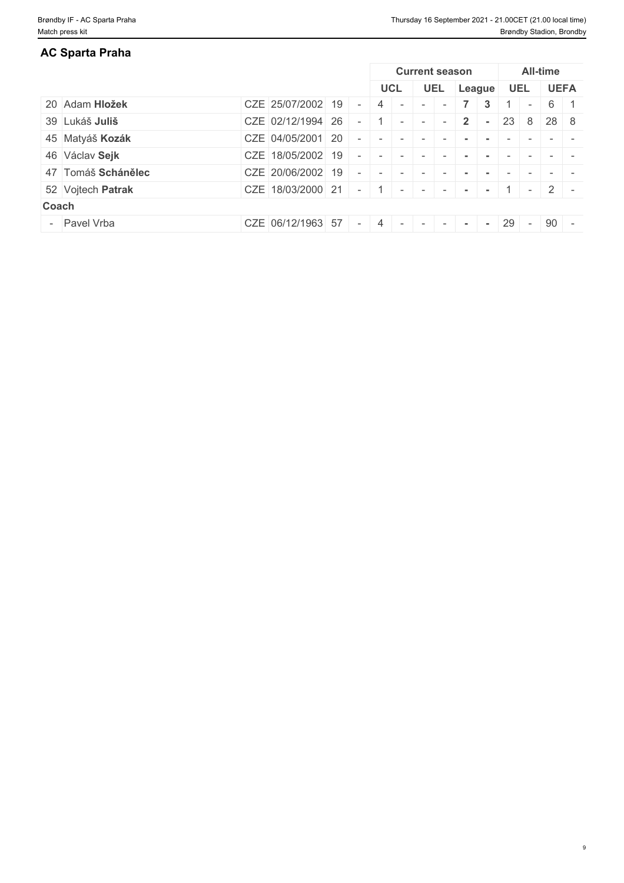| AC Sparta Praha    |                   |  |            |                       |              |        |     |                          |                    |                          |
|--------------------|-------------------|--|------------|-----------------------|--------------|--------|-----|--------------------------|--------------------|--------------------------|
|                    |                   |  |            | <b>Current season</b> |              |        |     |                          | <b>All-time</b>    |                          |
|                    |                   |  | <b>UCL</b> | <b>UEL</b>            | League       |        | UEL |                          |                    | <b>UEFA</b>              |
| 20 Adam Hložek     | CZE 25/07/2002 19 |  |            |                       |              | 3      |     | $\overline{\phantom{a}}$ | 6                  |                          |
| 39 Lukáš Juliš     | CZE 02/12/1994 26 |  |            | $\overline{a}$        | $2^{\prime}$ | $\sim$ | 23  |                          | $8 \mid 28 \mid 8$ |                          |
| 45 Matyáš Kozák    | CZE 04/05/2001 20 |  |            |                       |              |        |     |                          |                    |                          |
| 46 Václav Sejk     | CZE 18/05/2002 19 |  |            |                       |              |        |     |                          |                    |                          |
| 47 Tomáš Schánělec | CZE 20/06/2002 19 |  |            |                       |              |        |     |                          |                    |                          |
| 52 Vojtech Patrak  | CZE 18/03/2000 21 |  | $\sim$     | $\sim$ $\sim$ $\sim$  |              |        |     | $\sim$                   |                    | $\sim$                   |
| Coach              |                   |  |            |                       |              |        |     |                          |                    |                          |
| - Pavel Vrba       | CZE 06/12/1963 57 |  |            | $\sim$                | $\sim$       | $\sim$ | 29  | $\sim$                   | 90                 | $\overline{\phantom{a}}$ |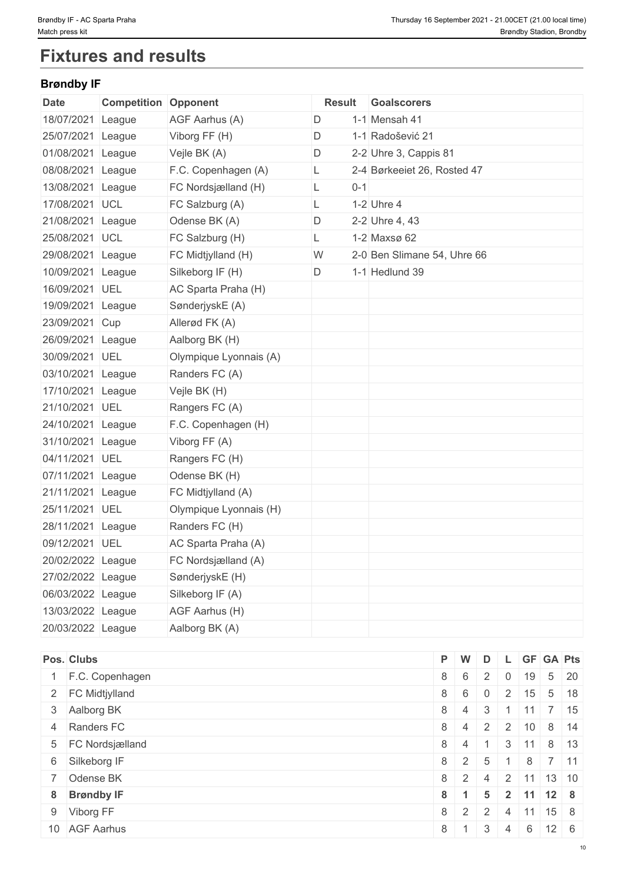# **Fixtures and results**

## **Brøndby IF**

| <b>Date</b>       | <b>Competition Opponent</b> |                        |   |         | <b>Result Goalscorers</b>   |
|-------------------|-----------------------------|------------------------|---|---------|-----------------------------|
| 18/07/2021 League |                             | AGF Aarhus (A)         | D |         | 1-1 Mensah 41               |
| 25/07/2021 League |                             | Viborg FF (H)          | D |         | 1-1 Radošević 21            |
| 01/08/2021 League |                             | Vejle BK (A)           | D |         | 2-2 Uhre 3, Cappis 81       |
| 08/08/2021 League |                             | F.C. Copenhagen (A)    | L |         | 2-4 Børkeeiet 26, Rosted 47 |
| 13/08/2021 League |                             | FC Nordsjælland (H)    | L | $0 - 1$ |                             |
| 17/08/2021 UCL    |                             | FC Salzburg (A)        | L |         | 1-2 Uhre 4                  |
| 21/08/2021 League |                             | Odense BK (A)          | D |         | 2-2 Uhre 4, 43              |
| 25/08/2021 UCL    |                             | FC Salzburg (H)        | L |         | 1-2 Maxsø 62                |
| 29/08/2021 League |                             | FC Midtjylland (H)     | W |         | 2-0 Ben Slimane 54, Uhre 66 |
| 10/09/2021 League |                             | Silkeborg IF (H)       | D |         | 1-1 Hedlund 39              |
| 16/09/2021 UEL    |                             | AC Sparta Praha (H)    |   |         |                             |
| 19/09/2021 League |                             | SønderjyskE (A)        |   |         |                             |
| 23/09/2021 Cup    |                             | Allerød FK (A)         |   |         |                             |
| 26/09/2021 League |                             | Aalborg BK (H)         |   |         |                             |
| 30/09/2021 UEL    |                             | Olympique Lyonnais (A) |   |         |                             |
| 03/10/2021 League |                             | Randers FC (A)         |   |         |                             |
| 17/10/2021 League |                             | Vejle BK (H)           |   |         |                             |
| 21/10/2021 UEL    |                             | Rangers FC (A)         |   |         |                             |
| 24/10/2021 League |                             | F.C. Copenhagen (H)    |   |         |                             |
| 31/10/2021 League |                             | Viborg FF (A)          |   |         |                             |
| 04/11/2021 UEL    |                             | Rangers FC (H)         |   |         |                             |
| 07/11/2021 League |                             | Odense BK (H)          |   |         |                             |
| 21/11/2021 League |                             | FC Midtjylland (A)     |   |         |                             |
| 25/11/2021 UEL    |                             | Olympique Lyonnais (H) |   |         |                             |
| 28/11/2021 League |                             | Randers FC (H)         |   |         |                             |
| 09/12/2021 UEL    |                             | AC Sparta Praha (A)    |   |         |                             |
| 20/02/2022 League |                             | FC Nordsjælland (A)    |   |         |                             |
| 27/02/2022 League |                             | SønderjyskE (H)        |   |         |                             |
| 06/03/2022 League |                             | Silkeborg IF (A)       |   |         |                             |
| 13/03/2022 League |                             | AGF Aarhus (H)         |   |         |                             |
| 20/03/2022 League |                             | Aalborg BK (A)         |   |         |                             |

|                                                                                                                                                                                           | D                                                                                                     |                   |                                   |                 |                                                                                                                                                                                                                         |
|-------------------------------------------------------------------------------------------------------------------------------------------------------------------------------------------|-------------------------------------------------------------------------------------------------------|-------------------|-----------------------------------|-----------------|-------------------------------------------------------------------------------------------------------------------------------------------------------------------------------------------------------------------------|
|                                                                                                                                                                                           |                                                                                                       |                   |                                   |                 |                                                                                                                                                                                                                         |
|                                                                                                                                                                                           | $\overline{0}$                                                                                        |                   |                                   |                 |                                                                                                                                                                                                                         |
|                                                                                                                                                                                           | 3                                                                                                     |                   |                                   |                 |                                                                                                                                                                                                                         |
|                                                                                                                                                                                           |                                                                                                       |                   |                                   |                 |                                                                                                                                                                                                                         |
|                                                                                                                                                                                           |                                                                                                       | 3                 |                                   |                 |                                                                                                                                                                                                                         |
|                                                                                                                                                                                           |                                                                                                       |                   |                                   |                 |                                                                                                                                                                                                                         |
|                                                                                                                                                                                           | 4                                                                                                     |                   |                                   |                 |                                                                                                                                                                                                                         |
|                                                                                                                                                                                           | 5                                                                                                     |                   |                                   |                 |                                                                                                                                                                                                                         |
|                                                                                                                                                                                           |                                                                                                       | $\overline{4}$    |                                   |                 |                                                                                                                                                                                                                         |
|                                                                                                                                                                                           | 3                                                                                                     | $\overline{4}$    |                                   |                 |                                                                                                                                                                                                                         |
| Pos. Clubs<br>1 F.C. Copenhagen<br>2 FC Midtjylland<br>3 Aalborg BK<br>4 Randers FC<br>5 FC Nordsjælland<br>6 Silkeborg IF<br>7 Odense BK<br>8 Brøndby IF<br>9 Viborg FF<br>10 AGF Aarhus | P W<br>$8 \mid 6$<br>$8 \mid 4$<br>$8 \mid 4$<br>$8 \mid 4$<br>$8 \mid 2$<br>$8 \mid 1$<br>$8 \mid 1$ | $8 \mid 2 \mid 5$ | $8 \mid 6 \mid 2 \mid$<br>$8$ 2 2 | $\frac{1}{2}$ . | L GF GA Pts<br>$0 \mid 19 \mid 5 \mid 20$<br>$15 \quad 5 \quad 18$<br>$11 \mid 7 \mid 15$<br>$2$ 2 10 8 14<br> 11 8 13<br>8 7 11<br>$\vert$ 2 11 13 10<br>$2 \mid 11 \mid 12 \mid 8$<br>$11$ 15 8<br>$6 \mid 12 \mid 6$ |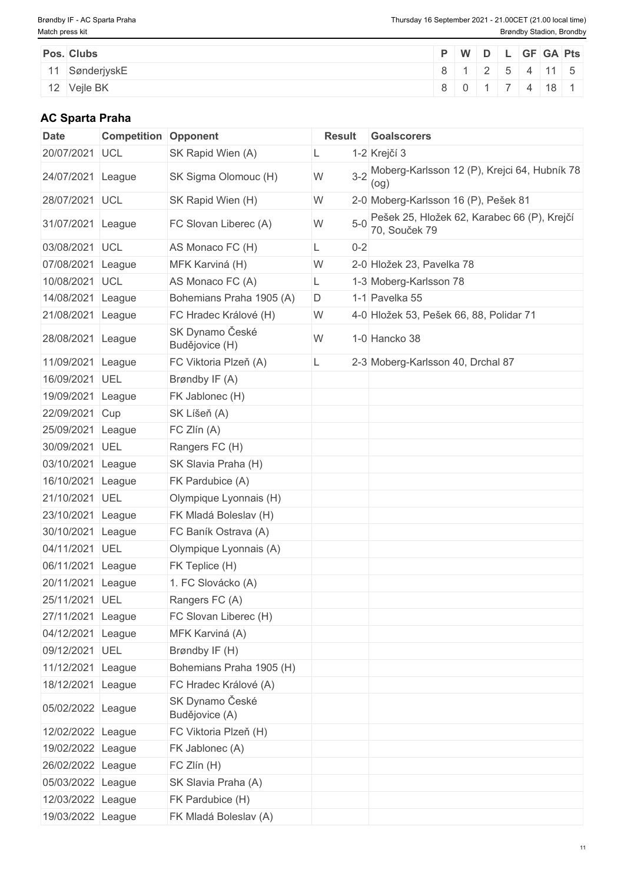| Pos. Clubs |                | P W D L GF GA Pts |  |  |  |
|------------|----------------|-------------------|--|--|--|
|            | 11 SønderjyskE | 8 1 2 5 4 11 5    |  |  |  |
|            | 12 Vejle BK    | 8 0 1 7 4 18 1    |  |  |  |

## **AC Sparta Praha**

| Date              | <b>Competition Opponent</b> |                                   | Result        | <b>Goalscorers</b>                                           |
|-------------------|-----------------------------|-----------------------------------|---------------|--------------------------------------------------------------|
| 20/07/2021        | UCL                         | SK Rapid Wien (A)                 |               | 1-2 Krejčí 3                                                 |
| 24/07/2021 League |                             | SK Sigma Olomouc (H)              | ${\sf W}$     | 3-2 Moberg-Karlsson 12 (P), Krejci 64, Hubník 78<br>(og)     |
| 28/07/2021 UCL    |                             | SK Rapid Wien (H)                 | W             | 2-0 Moberg-Karlsson 16 (P), Pešek 81                         |
| 31/07/2021 League |                             | FC Slovan Liberec (A)             | $5-0$<br>W    | Pešek 25, Hložek 62, Karabec 66 (P), Krejčí<br>70, Souček 79 |
| 03/08/2021 UCL    |                             | AS Monaco FC (H)                  | $0 - 2$<br>L. |                                                              |
| 07/08/2021 League |                             | MFK Karviná (H)                   | W             | 2-0 Hložek 23, Pavelka 78                                    |
| 10/08/2021 UCL    |                             | AS Monaco FC (A)                  | L.            | 1-3 Moberg-Karlsson 78                                       |
| 14/08/2021 League |                             | Bohemians Praha 1905 (A)          | D             | 1-1 Pavelka 55                                               |
| 21/08/2021 League |                             | FC Hradec Králové (H)             | W             | 4-0 Hložek 53, Pešek 66, 88, Polidar 71                      |
| 28/08/2021 League |                             | SK Dynamo České<br>Budějovice (H) | W             | 1-0 Hancko 38                                                |
| 11/09/2021 League |                             | FC Viktoria Plzeň (A)             |               | 2-3 Moberg-Karlsson 40, Drchal 87                            |
| 16/09/2021 UEL    |                             | Brøndby IF (A)                    |               |                                                              |
| 19/09/2021 League |                             | FK Jablonec (H)                   |               |                                                              |
| 22/09/2021 Cup    |                             | SK Líšeň (A)                      |               |                                                              |
| 25/09/2021 League |                             | FC Zlín (A)                       |               |                                                              |
| 30/09/2021 UEL    |                             | Rangers FC (H)                    |               |                                                              |
| 03/10/2021        | League                      | SK Slavia Praha (H)               |               |                                                              |
| 16/10/2021 League |                             | FK Pardubice (A)                  |               |                                                              |
| 21/10/2021 UEL    |                             | Olympique Lyonnais (H)            |               |                                                              |
| 23/10/2021        | League                      | FK Mladá Boleslav (H)             |               |                                                              |
| 30/10/2021 League |                             | FC Baník Ostrava (A)              |               |                                                              |
| 04/11/2021 UEL    |                             | Olympique Lyonnais (A)            |               |                                                              |
| 06/11/2021        | League                      | FK Teplice (H)                    |               |                                                              |
| 20/11/2021 League |                             | 1. FC Slovácko (A)                |               |                                                              |
| 25/11/2021 UEL    |                             | Rangers FC (A)                    |               |                                                              |
| 27/11/2021 League |                             | FC Slovan Liberec (H)             |               |                                                              |
| 04/12/2021 League |                             | MFK Karviná (A)                   |               |                                                              |
| 09/12/2021 UEL    |                             | Brøndby IF (H)                    |               |                                                              |
| 11/12/2021 League |                             | Bohemians Praha 1905 (H)          |               |                                                              |
| 18/12/2021 League |                             | FC Hradec Králové (A)             |               |                                                              |
| 05/02/2022 League |                             | SK Dynamo České<br>Budějovice (A) |               |                                                              |
| 12/02/2022 League |                             | FC Viktoria Plzeň (H)             |               |                                                              |
| 19/02/2022 League |                             | FK Jablonec (A)                   |               |                                                              |
| 26/02/2022 League |                             | FC Zlín (H)                       |               |                                                              |
| 05/03/2022 League |                             | SK Slavia Praha (A)               |               |                                                              |
| 12/03/2022 League |                             | FK Pardubice (H)                  |               |                                                              |
| 19/03/2022 League |                             | FK Mladá Boleslav (A)             |               |                                                              |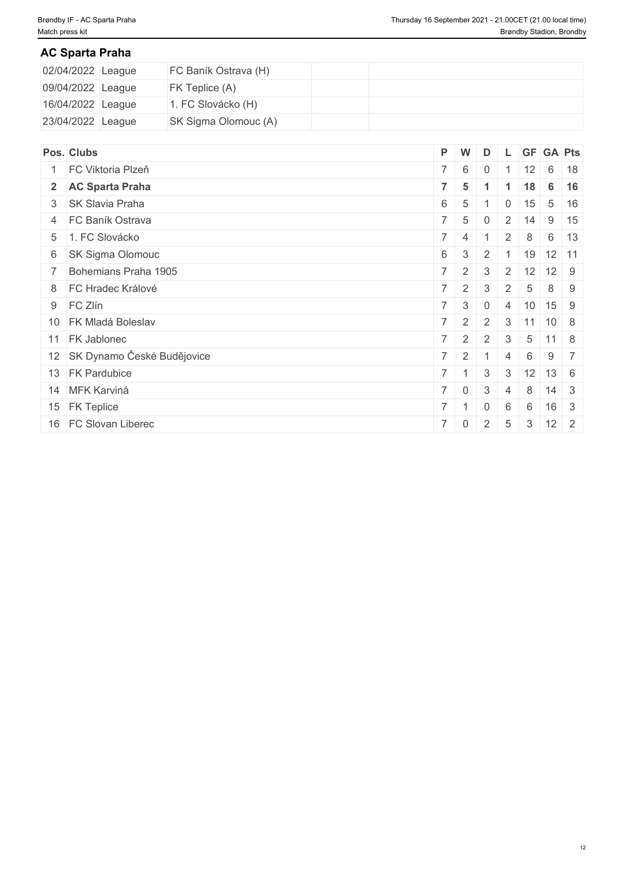## **AC Sparta Praha**

| 02/04/2022 League | FC Baník Ostrava (H) |  |  |  |  |
|-------------------|----------------------|--|--|--|--|
| 09/04/2022 League | FK Teplice (A)       |  |  |  |  |
| 16/04/2022 League | 1. FC Slovácko (H)   |  |  |  |  |
| 23/04/2022 League | SK Sigma Olomouc (A) |  |  |  |  |

| Pos. Clubs                    |             | P W                    | D              |                | <b>GF</b>        |      | <b>GA Pts</b> |  |
|-------------------------------|-------------|------------------------|----------------|----------------|------------------|------|---------------|--|
| FC Viktoria Plzeň             |             | $7 \quad 6$            | $\overline{0}$ |                | 12               |      | $6 \mid 18$   |  |
| 2 AC Sparta Praha             |             | $7 \mid 5$             | $\mathbf 1$    |                | 18               |      | $6 \mid 16$   |  |
| 3 SK Slavia Praha             |             | $6 \mid 5$             |                | 0              | 15               |      | $5 \mid 16$   |  |
| 4 FC Baník Ostrava            | $7^{\circ}$ | 5 <sup>5</sup>         | $\overline{0}$ |                | $2 \mid 14 \mid$ |      | $9 \mid 15$   |  |
| 5 1. FC Slovácko              |             | $7 \mid 4$             |                | $\overline{2}$ | 8                |      | $6 \mid 13$   |  |
| 6 SK Sigma Olomouc            | $6 \mid$    | $\mathbf{3}$           | $\overline{2}$ |                | 19               |      | $12$ 11       |  |
| 7 Bohemians Praha 1905        |             | $7 \mid 2 \mid$        | 3              | 2              | 12               |      | $12 \mid 9$   |  |
| 8 FC Hradec Králové           |             | $7 \mid 2 \mid 3$      |                | $\overline{2}$ | -5               |      | 8 9           |  |
| 9 FC Zlín                     |             | $7 \quad 3$            | $\overline{0}$ | $\overline{4}$ | 10               |      | 15 9          |  |
| 10 FK Mladá Boleslav          |             | $7 \mid 2 \mid 2 \mid$ |                |                | $3 \mid 11$      | 10 8 |               |  |
| 11 FK Jablonec                |             | $7 \mid 2 \mid$        | 2              | $\mathbf{3}$   | 5                |      | $11 \mid 8$   |  |
| 12 SK Dynamo České Budějovice |             | $7 \mid 2 \mid 1$      |                | $\overline{4}$ | 6                |      | $9 \mid 7$    |  |
| 13 FK Pardubice               |             | $7 \mid 1 \mid 3$      |                | 3              | 12               |      | $13 \quad 6$  |  |
| 14 MFK Karviná                |             | $7 \mid 0$             | 3              | $\overline{4}$ | 8                |      | $14 \quad 3$  |  |
| 15 FK Teplice                 |             | $7 \mid 1$             | $\mathbf 0$    | 6              | 6                |      | $16 \quad 3$  |  |
| 16 FC Slovan Liberec          |             | $7 \mid 0$             | 2              | 5              | $\mathcal{S}$    |      | $12 \mid 2$   |  |
|                               |             |                        |                |                |                  |      |               |  |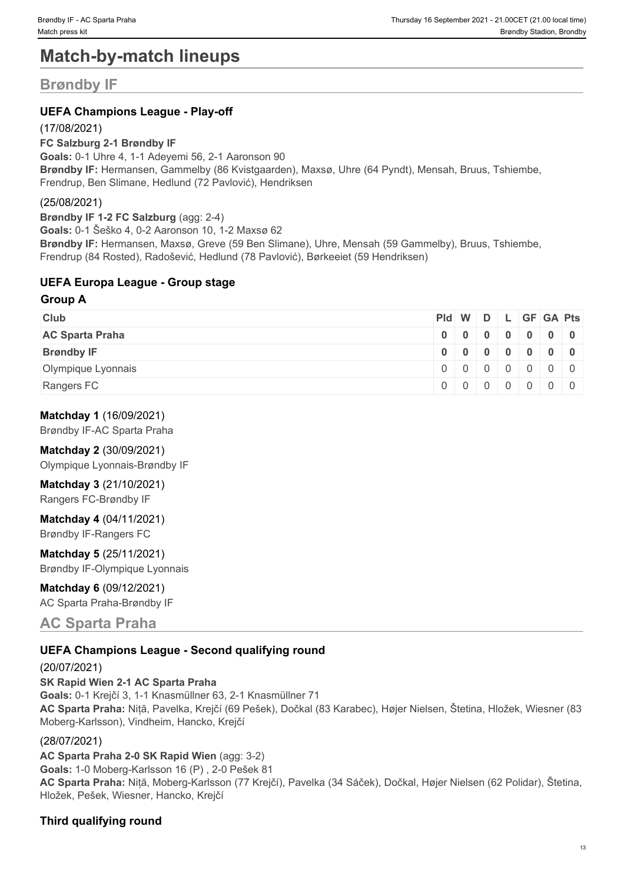# **Match-by-match lineups**

## **Brøndby IF**

## **UEFA Champions League - Play-off**

(17/08/2021)

**FC Salzburg 2-1 Brøndby IF**

**Goals:** 0-1 Uhre 4, 1-1 Adeyemi 56, 2-1 Aaronson 90 **Brøndby IF:** Hermansen, Gammelby (86 Kvistgaarden), Maxsø, Uhre (64 Pyndt), Mensah, Bruus, Tshiembe, Frendrup, Ben Slimane, Hedlund (72 Pavlović), Hendriksen

## (25/08/2021)

**Brøndby IF 1-2 FC Salzburg** (agg: 2-4) **Goals:** 0-1 Šeško 4, 0-2 Aaronson 10, 1-2 Maxsø 62 **Brøndby IF:** Hermansen, Maxsø, Greve (59 Ben Slimane), Uhre, Mensah (59 Gammelby), Bruus, Tshiembe, Frendrup (84 Rosted), Radošević, Hedlund (78 Pavlović), Børkeeiet (59 Hendriksen)

## **UEFA Europa League - Group stage**

#### **Group A**

| <b>Club</b>            |  |  | Pid W D L GF GA Pts |  |
|------------------------|--|--|---------------------|--|
| <b>AC Sparta Praha</b> |  |  | 0 0 0 0 0 0 0 0 0   |  |
| <b>Brøndby IF</b>      |  |  | 0 0 0 0 0 0 0 0     |  |
| Olympique Lyonnais     |  |  | 0 0 0 0 0 0 0 0     |  |
| Rangers FC             |  |  |                     |  |

## **Matchday 1** (16/09/2021)

Brøndby IF-AC Sparta Praha

## **Matchday 2** (30/09/2021)

Olympique Lyonnais-Brøndby IF

## **Matchday 3** (21/10/2021)

Rangers FC-Brøndby IF

## **Matchday 4** (04/11/2021)

Brøndby IF-Rangers FC

**Matchday 5** (25/11/2021) Brøndby IF-Olympique Lyonnais

## **Matchday 6** (09/12/2021)

AC Sparta Praha-Brøndby IF

## **AC Sparta Praha**

## **UEFA Champions League - Second qualifying round**

#### (20/07/2021)

**SK Rapid Wien 2-1 AC Sparta Praha Goals:** 0-1 Krejčí 3, 1-1 Knasmüllner 63, 2-1 Knasmüllner 71 **AC Sparta Praha:** Niță, Pavelka, Krejčí (69 Pešek), Dočkal (83 Karabec), Højer Nielsen, Štetina, Hložek, Wiesner (83 Moberg-Karlsson), Vindheim, Hancko, Krejčí

## (28/07/2021)

**AC Sparta Praha 2-0 SK Rapid Wien** (agg: 3-2) **Goals:** 1-0 Moberg-Karlsson 16 (P) , 2-0 Pešek 81 **AC Sparta Praha:** Niță, Moberg-Karlsson (77 Krejčí), Pavelka (34 Sáček), Dočkal, Højer Nielsen (62 Polidar), Štetina, Hložek, Pešek, Wiesner, Hancko, Krejčí

## **Third qualifying round**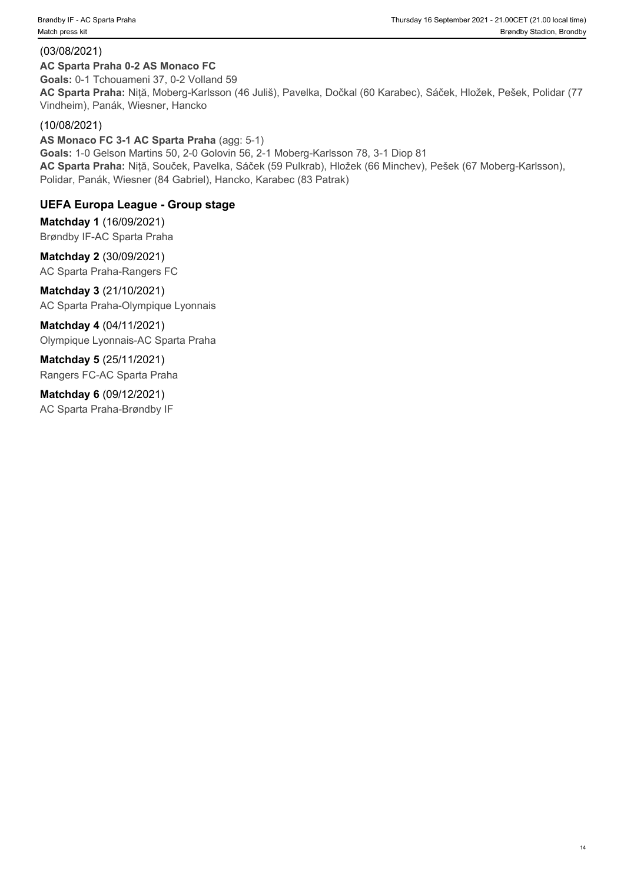## (03/08/2021)

## **AC Sparta Praha 0-2 AS Monaco FC**

**Goals:** 0-1 Tchouameni 37, 0-2 Volland 59 **AC Sparta Praha:** Niță, Moberg-Karlsson (46 Juliš), Pavelka, Dočkal (60 Karabec), Sáček, Hložek, Pešek, Polidar (77 Vindheim), Panák, Wiesner, Hancko

## (10/08/2021)

**AS Monaco FC 3-1 AC Sparta Praha** (agg: 5-1) **Goals:** 1-0 Gelson Martins 50, 2-0 Golovin 56, 2-1 Moberg-Karlsson 78, 3-1 Diop 81 **AC Sparta Praha:** Niță, Souček, Pavelka, Sáček (59 Pulkrab), Hložek (66 Minchev), Pešek (67 Moberg-Karlsson), Polidar, Panák, Wiesner (84 Gabriel), Hancko, Karabec (83 Patrak)

## **UEFA Europa League - Group stage**

**Matchday 1** (16/09/2021) Brøndby IF-AC Sparta Praha

**Matchday 2** (30/09/2021) AC Sparta Praha-Rangers FC

**Matchday 3** (21/10/2021) AC Sparta Praha-Olympique Lyonnais

**Matchday 4** (04/11/2021) Olympique Lyonnais-AC Sparta Praha

**Matchday 5** (25/11/2021) Rangers FC-AC Sparta Praha

**Matchday 6** (09/12/2021) AC Sparta Praha-Brøndby IF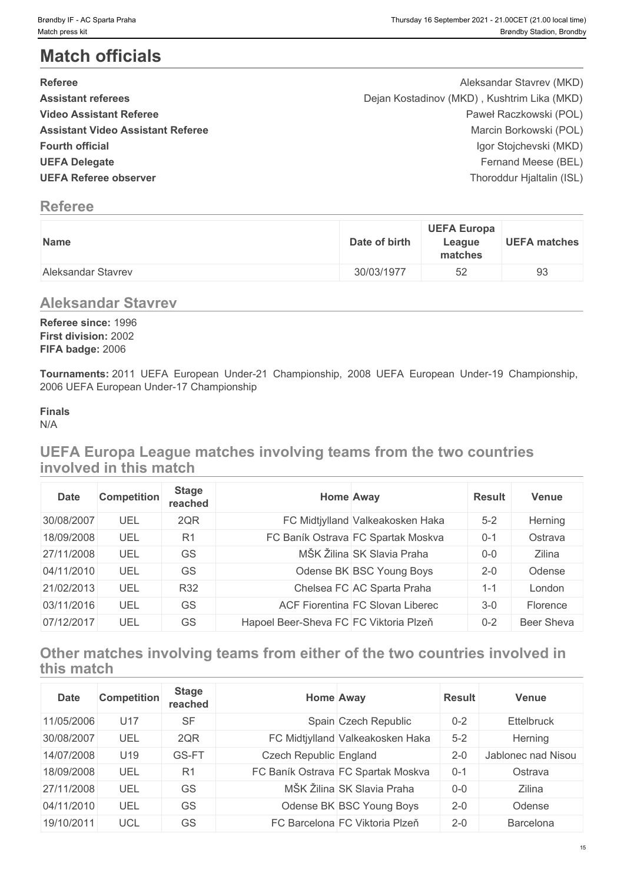# **Match officials**

| Brøndby IF - AC Sparta Praha<br>Match press kit                                                                                                                                                                               |               |                                         | Thursday 16 September 2021 - 21.00CET (21.00 local time)<br>Brøndby Stadion, Brondby                                                                                                                      |
|-------------------------------------------------------------------------------------------------------------------------------------------------------------------------------------------------------------------------------|---------------|-----------------------------------------|-----------------------------------------------------------------------------------------------------------------------------------------------------------------------------------------------------------|
| <b>Match officials</b>                                                                                                                                                                                                        |               |                                         |                                                                                                                                                                                                           |
| <b>Referee</b><br><b>Assistant referees</b><br><b>Video Assistant Referee</b><br><b>Assistant Video Assistant Referee</b><br><b>Fourth official</b><br><b>UEFA Delegate</b><br><b>UEFA Referee observer</b><br><b>Referee</b> |               |                                         | Aleksandar Stavrev (MKD)<br>Dejan Kostadinov (MKD), Kushtrim Lika (MKD)<br>Paweł Raczkowski (POL)<br>Marcin Borkowski (POL)<br>Igor Stojchevski (MKD)<br>Fernand Meese (BEL)<br>Thoroddur Hjaltalin (ISL) |
| Name                                                                                                                                                                                                                          | Date of birth | <b>UEFA Europa</b><br>League<br>matches | <b>UEFA matches</b>                                                                                                                                                                                       |
| Aleksandar Stavrev                                                                                                                                                                                                            | 30/03/1977    | 52                                      | 93                                                                                                                                                                                                        |
| <b>Aleksandar Stavrev</b><br>Referee since: 1996<br>First division: 2002<br>FIFA badge: 2006                                                                                                                                  |               |                                         |                                                                                                                                                                                                           |
| Tournaments: 2011 UEFA European Under-21 Championship, 2008 UEFA European Under-19 Championship,<br>2006 UEFA European Under-17 Championship                                                                                  |               |                                         |                                                                                                                                                                                                           |
| <b>Finals</b><br>N/A                                                                                                                                                                                                          |               |                                         |                                                                                                                                                                                                           |
| UEFA Europa League matches involving teams from the two countries<br>involved in this match                                                                                                                                   |               |                                         |                                                                                                                                                                                                           |
| <b>Stage</b>                                                                                                                                                                                                                  | Home Away     | <b>Posult</b>                           | <b>Vanua</b>                                                                                                                                                                                              |

## **Referee**

| Name               | <b>UEFA Europa</b><br>Date of birth<br>League<br>matches | <b>UEFA matches</b> |
|--------------------|----------------------------------------------------------|---------------------|
| Aleksandar Stavrev | 52<br>30/03/1977                                         | 93                  |

## **Aleksandar Stavrev**

## **Finals**

## **UEFA Europa League matches involving teams from the two countries involved in this match**

| <b>Date</b> | <b>Competition</b> | <b>Stage</b><br>reached |                                        | <b>Home Away</b>                   | <b>Result</b> | Venue      |
|-------------|--------------------|-------------------------|----------------------------------------|------------------------------------|---------------|------------|
| 30/08/2007  | UEL                | 2QR                     |                                        | FC Midtjylland Valkeakosken Haka   | $5 - 2$       | Herning    |
| 18/09/2008  | UEL                | R <sub>1</sub>          |                                        | FC Baník Ostrava FC Spartak Moskva | $0 - 1$       | Ostrava    |
| 27/11/2008  | UEL                | GS                      |                                        | MŠK Žilina SK Slavia Praha         | $0-0$         | Zilina     |
| 04/11/2010  | UEL                | GS                      |                                        | Odense BK BSC Young Boys           | $2 - 0$       | Odense     |
| 21/02/2013  | UEL                | R32                     |                                        | Chelsea FC AC Sparta Praha         | $1 - 1$       | London     |
| 03/11/2016  | UEL                | GS                      |                                        | ACF Fiorentina FC Slovan Liberec   | $3-0$         | Florence   |
| 07/12/2017  | UEL                | GS                      | Hapoel Beer-Sheva FC FC Viktoria Plzeň |                                    | $0 - 2$       | Beer Sheva |

## **Other matches involving teams from either of the two countries involved in this match**

| <b>Date</b> | <b>Competition</b> | <b>Stage</b><br>reached |                        | Home Away                          | <b>Result</b> | Venue              |
|-------------|--------------------|-------------------------|------------------------|------------------------------------|---------------|--------------------|
| 11/05/2006  | U <sub>17</sub>    | <b>SF</b>               |                        | Spain Czech Republic               | $0 - 2$       | <b>Ettelbruck</b>  |
| 30/08/2007  | UEL                | 2QR                     |                        | FC Midtjylland Valkeakosken Haka   | $5 - 2$       | Herning            |
| 14/07/2008  | U19                | GS-FT                   | Czech Republic England |                                    | $2 - 0$       | Jablonec nad Nisou |
| 18/09/2008  | UEL                | R1                      |                        | FC Baník Ostrava FC Spartak Moskva | $0 - 1$       | Ostrava            |
| 27/11/2008  | UEL                | GS                      |                        | MŠK Žilina SK Slavia Praha         | $0-0$         | Zilina             |
| 04/11/2010  | UEL                | GS                      |                        | Odense BK BSC Young Boys           | $2 - 0$       | Odense             |
| 19/10/2011  | UCL                | GS                      |                        | FC Barcelona FC Viktoria Plzeň     | $2 - 0$       | Barcelona          |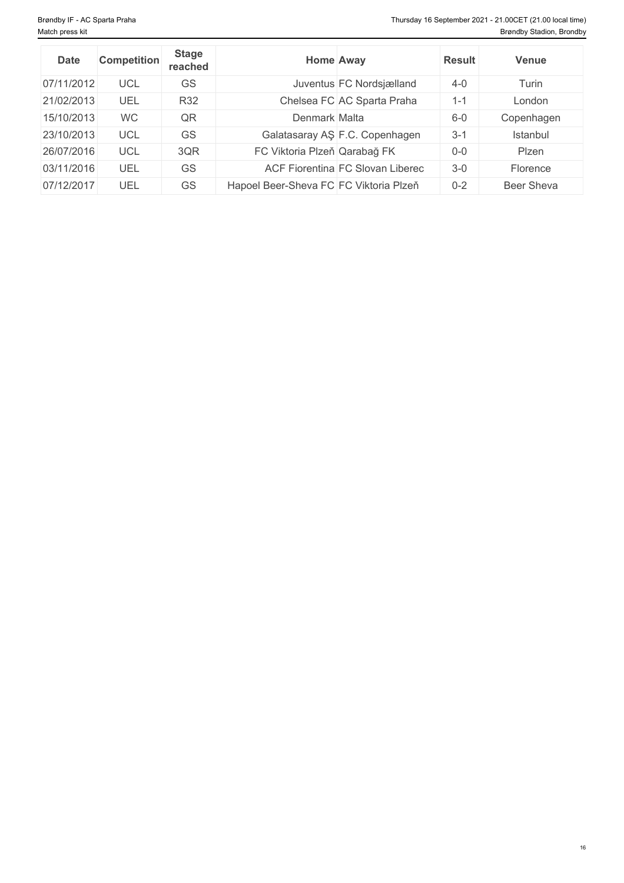| <b>Date</b> | <b>Competition</b> | <b>Stage</b><br>reached |                                        | Home Away                        | <b>Result</b> | Venue      |
|-------------|--------------------|-------------------------|----------------------------------------|----------------------------------|---------------|------------|
| 07/11/2012  | <b>UCL</b>         | GS                      |                                        | Juventus FC Nordsjælland         | $4 - 0$       | Turin      |
| 21/02/2013  | UEL                | R32                     |                                        | Chelsea FC AC Sparta Praha       | $1 - 1$       | London     |
| 15/10/2013  | <b>WC</b>          | QR                      | Denmark Malta                          |                                  | $6-0$         | Copenhagen |
| 23/10/2013  | <b>UCL</b>         | <b>GS</b>               |                                        | Galatasaray AŞ F.C. Copenhagen   | $3 - 1$       | Istanbul   |
| 26/07/2016  | <b>UCL</b>         | 3QR                     | FC Viktoria Plzeň Qarabağ FK           |                                  | $0 - 0$       | Plzen      |
| 03/11/2016  | UEL                | <b>GS</b>               |                                        | ACF Fiorentina FC Slovan Liberec | $3-0$         | Florence   |
| 07/12/2017  | UEL                | GS                      | Hapoel Beer-Sheva FC FC Viktoria Plzeň |                                  | $0 - 2$       | Beer Sheva |